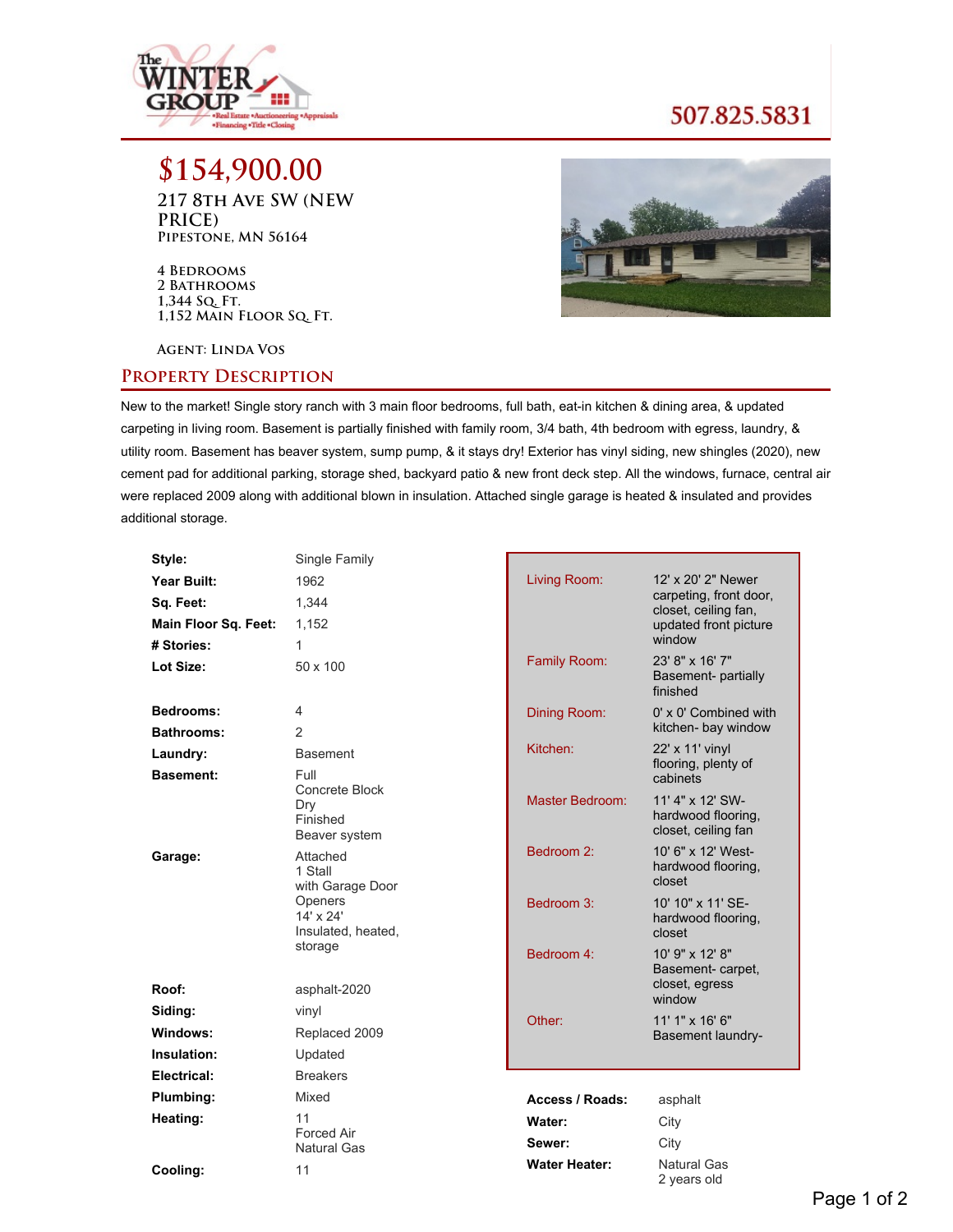

## 507.825.5831

**\$154,900.00 217 8th Ave SW (NEW PRICE) Pipestone, MN 56164**

**4 Bedrooms 2 Bathrooms 1,344 Sq. Ft. 1,152 Main Floor Sq. Ft.**



**Agent: Linda Vos**

## **Property Description**

New to the market! Single story ranch with 3 main floor bedrooms, full bath, eat-in kitchen & dining area, & updated carpeting in living room. Basement is partially finished with family room, 3/4 bath, 4th bedroom with egress, laundry, & utility room. Basement has beaver system, sump pump, & it stays dry! Exterior has vinyl siding, new shingles (2020), new cement pad for additional parking, storage shed, backyard patio & new front deck step. All the windows, furnace, central air were replaced 2009 along with additional blown in insulation. Attached single garage is heated & insulated and provides additional storage.

| Style:               | Single Family                                      |                      |                                                               |
|----------------------|----------------------------------------------------|----------------------|---------------------------------------------------------------|
| Year Built:          | 1962                                               | Living Room:         | 12' x 20' 2" Newer                                            |
| Sq. Feet:            | 1,344                                              |                      | carpeting, front door,<br>closet, ceiling fan,                |
| Main Floor Sq. Feet: | 1.152                                              |                      | updated front picture                                         |
| # Stories:           | 1                                                  |                      | window                                                        |
| Lot Size:            | 50 x 100                                           | Family Room:         | 23' 8" x 16' 7"<br>Basement- partially<br>finished            |
| Bedrooms:            | 4                                                  | Dining Room:         | $0' \times 0'$ Combined with                                  |
| <b>Bathrooms:</b>    | $\mathcal{P}$                                      |                      | kitchen- bay window                                           |
| Laundry:             | <b>Basement</b>                                    | Kitchen:             | 22' x 11' vinyl<br>flooring, plenty of                        |
| <b>Basement:</b>     | Full                                               |                      | cabinets                                                      |
|                      | Concrete Block<br>Dry<br>Finished<br>Beaver system | Master Bedroom:      | 11' 4" x 12' SW-<br>hardwood flooring.<br>closet, ceiling fan |
| Garage:              | Attached<br>1 Stall<br>with Garage Door            | Bedroom 2:           | 10' 6" x 12' West-<br>hardwood flooring.<br>closet            |
|                      | Openers<br>14' x 24'<br>Insulated, heated,         | Bedroom 3:           | 10' 10" x 11' SE-<br>hardwood flooring,<br>closet             |
|                      | storage                                            | Bedroom 4:           | 10' 9" x 12' 8"                                               |
| Roof:                | asphalt-2020                                       |                      | Basement-carpet,<br>closet, egress<br>window                  |
| Siding:              | vinyl                                              | Other:               | 11' 1" x 16' 6"                                               |
| Windows:             | Replaced 2009                                      |                      | Basement laundry-                                             |
| Insulation:          | Updated                                            |                      |                                                               |
| <b>Electrical:</b>   | <b>Breakers</b>                                    |                      |                                                               |
| Plumbing:            | Mixed                                              | Access / Roads:      | asphalt                                                       |
| Heating:             | 11                                                 | Water:               | City                                                          |
|                      | <b>Forced Air</b><br>Natural Gas                   | Sewer:               | City                                                          |
| Cooling:             | 11                                                 | <b>Water Heater:</b> | Natural Gas<br>2 years old                                    |